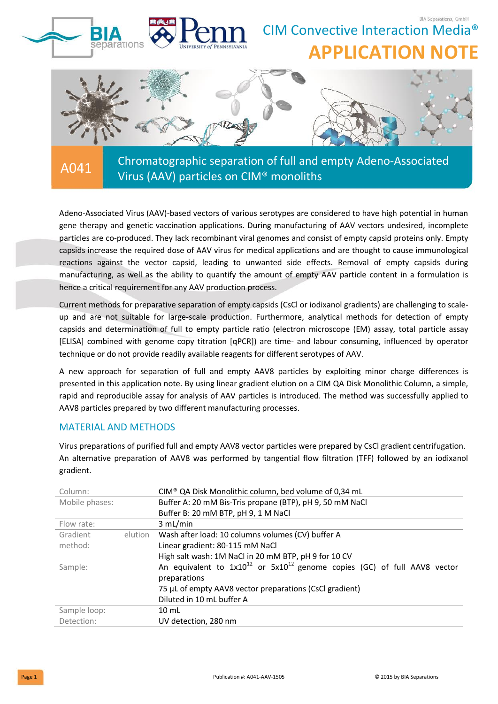

Adeno-Associated Virus (AAV)-based vectors of various serotypes are considered to have high potential in human gene therapy and genetic vaccination applications. During manufacturing of AAV vectors undesired, incomplete particles are co-produced. They lack recombinant viral genomes and consist of empty capsid proteins only. Empty capsids increase the required dose of AAV virus for medical applications and are thought to cause immunological reactions against the vector capsid, leading to unwanted side effects. Removal of empty capsids during manufacturing, as well as the ability to quantify the amount of empty AAV particle content in a formulation is hence a critical requirement for any AAV production process.

Current methods for preparative separation of empty capsids (CsCl or iodixanol gradients) are challenging to scaleup and are not suitable for large-scale production. Furthermore, analytical methods for detection of empty capsids and determination of full to empty particle ratio (electron microscope (EM) assay, total particle assay [ELISA] combined with genome copy titration [qPCR]) are time- and labour consuming, influenced by operator technique or do not provide readily available reagents for different serotypes of AAV.

A new approach for separation of full and empty AAV8 particles by exploiting minor charge differences is presented in this application note. By using linear gradient elution on a CIM QA Disk Monolithic Column, a simple, rapid and reproducible assay for analysis of AAV particles is introduced. The method was successfully applied to AAV8 particles prepared by two different manufacturing processes.

# MATERIAL AND METHODS

Virus preparations of purified full and empty AAV8 vector particles were prepared by CsCl gradient centrifugation. An alternative preparation of AAV8 was performed by tangential flow filtration (TFF) followed by an iodixanol gradient.

| Column:        |         | CIM® QA Disk Monolithic column, bed volume of 0,34 mL                                              |  |  |
|----------------|---------|----------------------------------------------------------------------------------------------------|--|--|
| Mobile phases: |         | Buffer A: 20 mM Bis-Tris propane (BTP), pH 9, 50 mM NaCl                                           |  |  |
|                |         | Buffer B: 20 mM BTP, pH 9, 1 M NaCl                                                                |  |  |
| Flow rate:     |         | 3 mL/min                                                                                           |  |  |
| Gradient       | elution | Wash after load: 10 columns volumes (CV) buffer A                                                  |  |  |
| method:        |         | Linear gradient: 80-115 mM NaCl                                                                    |  |  |
|                |         | High salt wash: 1M NaCl in 20 mM BTP, pH 9 for 10 CV                                               |  |  |
| Sample:        |         | An equivalent to $1x10^{12}$ or $5x10^{12}$ genome copies (GC) of full AAV8 vector<br>preparations |  |  |
|                |         | 75 µL of empty AAV8 vector preparations (CsCl gradient)                                            |  |  |
|                |         | Diluted in 10 mL buffer A                                                                          |  |  |
| Sample loop:   |         | $10 \text{ mL}$                                                                                    |  |  |
| Detection:     |         | UV detection, 280 nm                                                                               |  |  |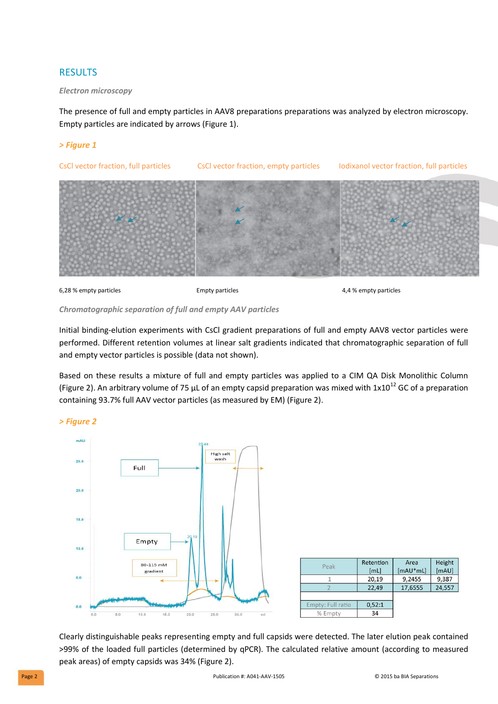# RESULTS

#### *Electron microscopy*

The presence of full and empty particles in AAV8 preparations preparations was analyzed by electron microscopy. Empty particles are indicated by arrows (Figure 1).

#### *> Figure 1*



6,28 % empty particles Empty particles 4,4 % empty particles

#### *Chromatographic separation of full and empty AAV particles*

Initial binding-elution experiments with CsCl gradient preparations of full and empty AAV8 vector particles were performed. Different retention volumes at linear salt gradients indicated that chromatographic separation of full and empty vector particles is possible (data not shown).

Based on these results a mixture of full and empty particles was applied to a CIM QA Disk Monolithic Column (Figure 2). An arbitrary volume of 75 µL of an empty capsid preparation was mixed with  $1x10^{12}$  GC of a preparation containing 93.7% full AAV vector particles (as measured by EM) (Figure 2).

*> Figure 2*



| Peak              | Retention<br>[mL] | Area<br>$[mAU*mL]$ | Height<br>[mAU] |
|-------------------|-------------------|--------------------|-----------------|
|                   | 20,19             | 9,2455             | 9,387           |
|                   | 22,49             | 17,6555            | 24,557          |
| Empty: Full ratio | 0,52:1            |                    |                 |
| % Empty           | 34                |                    |                 |

Clearly distinguishable peaks representing empty and full capsids were detected. The later elution peak contained >99% of the loaded full particles (determined by qPCR). The calculated relative amount (according to measured peak areas) of empty capsids was 34% (Figure 2).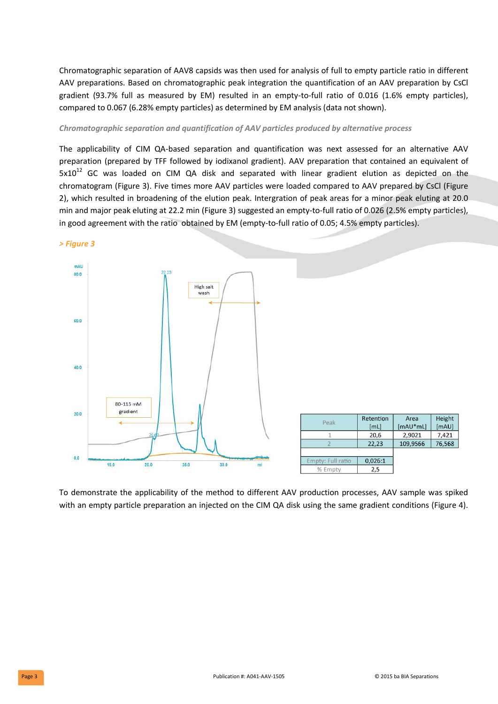Chromatographic separation of AAV8 capsids was then used for analysis of full to empty particle ratio in different AAV preparations. Based on chromatographic peak integration the quantification of an AAV preparation by CsCl gradient (93.7% full as measured by EM) resulted in an empty-to-full ratio of 0.016 (1.6% empty particles), compared to 0.067 (6.28% empty particles) as determined by EM analysis (data not shown).

#### *Chromatographic separation and quantification of AAV particles produced by alternative process*

The applicability of CIM QA-based separation and quantification was next assessed for an alternative AAV preparation (prepared by TFF followed by iodixanol gradient). AAV preparation that contained an equivalent of  $5x10^{12}$  GC was loaded on CIM QA disk and separated with linear gradient elution as depicted on the chromatogram (Figure 3). Five times more AAV particles were loaded compared to AAV prepared by CsCl (Figure 2), which resulted in broadening of the elution peak. Intergration of peak areas for a minor peak eluting at 20.0 min and major peak eluting at 22.2 min (Figure 3) suggested an empty-to-full ratio of 0.026 (2.5% empty particles), in good agreement with the ratio obtained by EM (empty-to-full ratio of 0.05; 4.5% empty particles).



To demonstrate the applicability of the method to different AAV production processes, AAV sample was spiked with an empty particle preparation an injected on the CIM QA disk using the same gradient conditions (Figure 4).